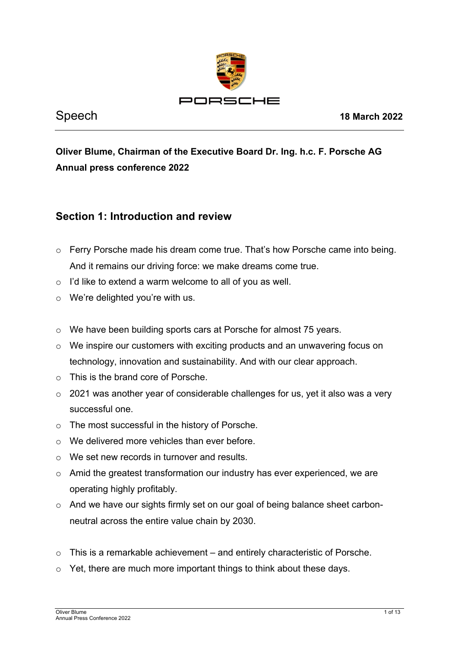

# **Oliver Blume, Chairman of the Executive Board Dr. Ing. h.c. F. Porsche AG Annual press conference 2022**

# **Section 1: Introduction and review**

- o Ferry Porsche made his dream come true. That's how Porsche came into being. And it remains our driving force: we make dreams come true.
- o I'd like to extend a warm welcome to all of you as well.
- o We're delighted you're with us.
- o We have been building sports cars at Porsche for almost 75 years.
- o We inspire our customers with exciting products and an unwavering focus on technology, innovation and sustainability. And with our clear approach.
- o This is the brand core of Porsche.
- o 2021 was another year of considerable challenges for us, yet it also was a very successful one.
- o The most successful in the history of Porsche.
- o We delivered more vehicles than ever before.
- o We set new records in turnover and results.
- o Amid the greatest transformation our industry has ever experienced, we are operating highly profitably.
- o And we have our sights firmly set on our goal of being balance sheet carbonneutral across the entire value chain by 2030.
- $\circ$  This is a remarkable achievement and entirely characteristic of Porsche.
- o Yet, there are much more important things to think about these days.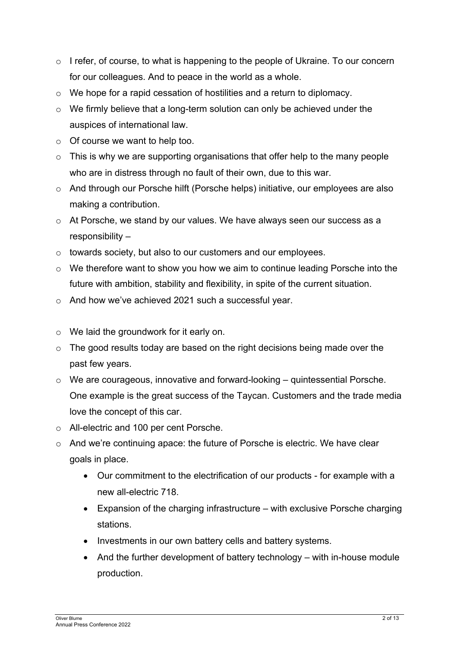- o I refer, of course, to what is happening to the people of Ukraine. To our concern for our colleagues. And to peace in the world as a whole.
- o We hope for a rapid cessation of hostilities and a return to diplomacy.
- o We firmly believe that a long-term solution can only be achieved under the auspices of international law.
- o Of course we want to help too.
- $\circ$  This is why we are supporting organisations that offer help to the many people who are in distress through no fault of their own, due to this war.
- o And through our Porsche hilft (Porsche helps) initiative, our employees are also making a contribution.
- o At Porsche, we stand by our values. We have always seen our success as a responsibility –
- o towards society, but also to our customers and our employees.
- o We therefore want to show you how we aim to continue leading Porsche into the future with ambition, stability and flexibility, in spite of the current situation.
- o And how we've achieved 2021 such a successful year.
- o We laid the groundwork for it early on.
- $\circ$  The good results today are based on the right decisions being made over the past few years.
- o We are courageous, innovative and forward-looking quintessential Porsche. One example is the great success of the Taycan. Customers and the trade media love the concept of this car.
- o All-electric and 100 per cent Porsche.
- o And we're continuing apace: the future of Porsche is electric. We have clear goals in place.
	- Our commitment to the electrification of our products for example with a new all-electric 718.
	- Expansion of the charging infrastructure with exclusive Porsche charging stations.
	- Investments in our own battery cells and battery systems.
	- And the further development of battery technology with in-house module production.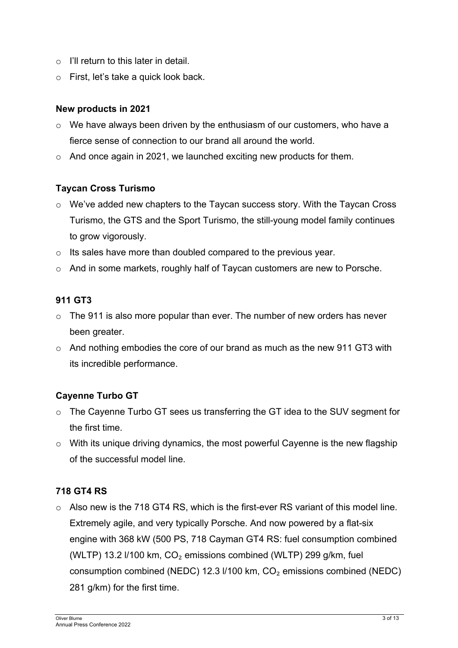- $\circ$  I'll return to this later in detail.
- o First, let's take a quick look back.

#### **New products in 2021**

- o We have always been driven by the enthusiasm of our customers, who have a fierce sense of connection to our brand all around the world.
- o And once again in 2021, we launched exciting new products for them.

## **Taycan Cross Turismo**

- o We've added new chapters to the Taycan success story. With the Taycan Cross Turismo, the GTS and the Sport Turismo, the still-young model family continues to grow vigorously.
- o Its sales have more than doubled compared to the previous year.
- o And in some markets, roughly half of Taycan customers are new to Porsche.

#### **911 GT3**

- $\circ$  The 911 is also more popular than ever. The number of new orders has never been greater.
- $\circ$  And nothing embodies the core of our brand as much as the new 911 GT3 with its incredible performance.

## **Cayenne Turbo GT**

- o The Cayenne Turbo GT sees us transferring the GT idea to the SUV segment for the first time.
- o With its unique driving dynamics, the most powerful Cayenne is the new flagship of the successful model line.

## **718 GT4 RS**

 $\circ$  Also new is the 718 GT4 RS, which is the first-ever RS variant of this model line. Extremely agile, and very typically Porsche. And now powered by a flat-six engine with 368 kW (500 PS, 718 Cayman GT4 RS: fuel consumption combined (WLTP) 13.2  $1/100$  km,  $CO<sub>2</sub>$  emissions combined (WLTP) 299 g/km, fuel consumption combined (NEDC) 12.3 l/100 km, CO₂ emissions combined (NEDC) 281 g/km) for the first time.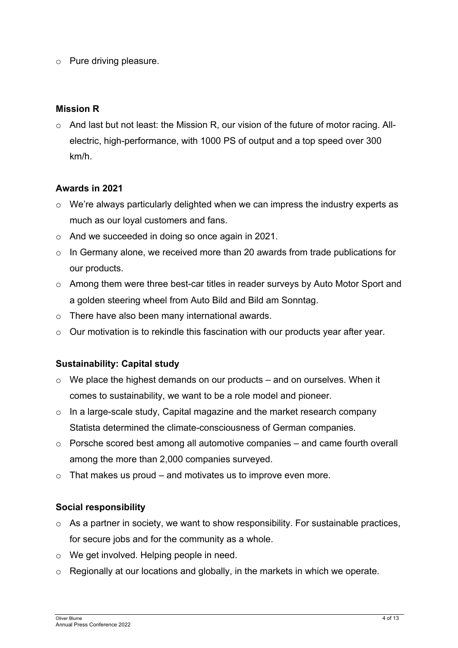o Pure driving pleasure.

## **Mission R**

o And last but not least: the Mission R, our vision of the future of motor racing. Allelectric, high-performance, with 1000 PS of output and a top speed over 300 km/h.

## **Awards in 2021**

- o We're always particularly delighted when we can impress the industry experts as much as our loyal customers and fans.
- o And we succeeded in doing so once again in 2021.
- $\circ$  In Germany alone, we received more than 20 awards from trade publications for our products.
- o Among them were three best-car titles in reader surveys by Auto Motor Sport and a golden steering wheel from Auto Bild and Bild am Sonntag.
- o There have also been many international awards.
- $\circ$  Our motivation is to rekindle this fascination with our products year after year.

## **Sustainability: Capital study**

- $\circ$  We place the highest demands on our products and on ourselves. When it comes to sustainability, we want to be a role model and pioneer.
- o In a large-scale study, Capital magazine and the market research company Statista determined the climate-consciousness of German companies.
- o Porsche scored best among all automotive companies and came fourth overall among the more than 2,000 companies surveyed.
- $\circ$  That makes us proud and motivates us to improve even more.

## **Social responsibility**

- $\circ$  As a partner in society, we want to show responsibility. For sustainable practices, for secure jobs and for the community as a whole.
- o We get involved. Helping people in need.
- o Regionally at our locations and globally, in the markets in which we operate.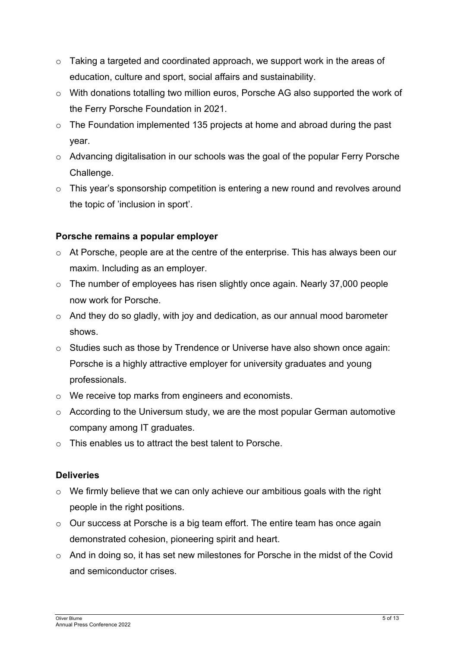- o Taking a targeted and coordinated approach, we support work in the areas of education, culture and sport, social affairs and sustainability.
- o With donations totalling two million euros, Porsche AG also supported the work of the Ferry Porsche Foundation in 2021.
- $\circ$  The Foundation implemented 135 projects at home and abroad during the past year.
- o Advancing digitalisation in our schools was the goal of the popular Ferry Porsche Challenge.
- o This year's sponsorship competition is entering a new round and revolves around the topic of 'inclusion in sport'.

## **Porsche remains a popular employer**

- $\circ$  At Porsche, people are at the centre of the enterprise. This has always been our maxim. Including as an employer.
- o The number of employees has risen slightly once again. Nearly 37,000 people now work for Porsche.
- o And they do so gladly, with joy and dedication, as our annual mood barometer shows.
- o Studies such as those by Trendence or Universe have also shown once again: Porsche is a highly attractive employer for university graduates and young professionals.
- o We receive top marks from engineers and economists.
- o According to the Universum study, we are the most popular German automotive company among IT graduates.
- o This enables us to attract the best talent to Porsche.

## **Deliveries**

- o We firmly believe that we can only achieve our ambitious goals with the right people in the right positions.
- o Our success at Porsche is a big team effort. The entire team has once again demonstrated cohesion, pioneering spirit and heart.
- $\circ$  And in doing so, it has set new milestones for Porsche in the midst of the Covid and semiconductor crises.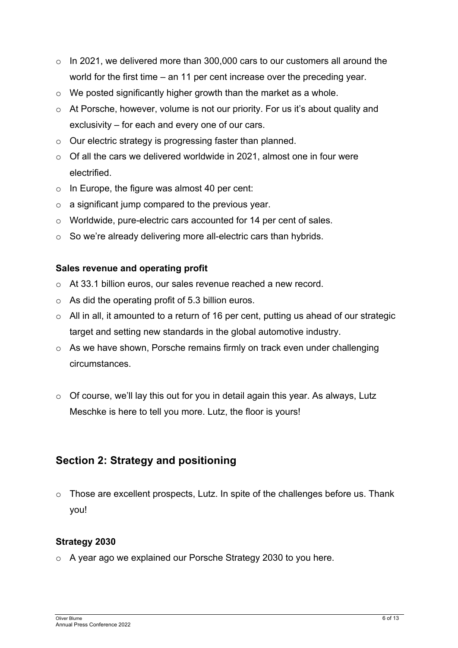- o In 2021, we delivered more than 300,000 cars to our customers all around the world for the first time – an 11 per cent increase over the preceding year.
- o We posted significantly higher growth than the market as a whole.
- o At Porsche, however, volume is not our priority. For us it's about quality and exclusivity – for each and every one of our cars.
- o Our electric strategy is progressing faster than planned.
- $\circ$  Of all the cars we delivered worldwide in 2021, almost one in four were electrified.
- o In Europe, the figure was almost 40 per cent:
- $\circ$  a significant jump compared to the previous year.
- o Worldwide, pure-electric cars accounted for 14 per cent of sales.
- o So we're already delivering more all-electric cars than hybrids.

#### **Sales revenue and operating profit**

- o At 33.1 billion euros, our sales revenue reached a new record.
- o As did the operating profit of 5.3 billion euros.
- $\circ$  All in all, it amounted to a return of 16 per cent, putting us ahead of our strategic target and setting new standards in the global automotive industry.
- o As we have shown, Porsche remains firmly on track even under challenging circumstances.
- o Of course, we'll lay this out for you in detail again this year. As always, Lutz Meschke is here to tell you more. Lutz, the floor is yours!

## **Section 2: Strategy and positioning**

 $\circ$  Those are excellent prospects, Lutz. In spite of the challenges before us. Thank you!

## **Strategy 2030**

o A year ago we explained our Porsche Strategy 2030 to you here.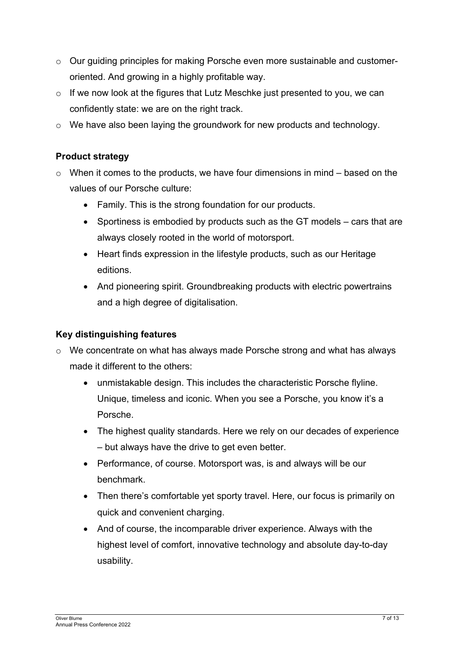- o Our guiding principles for making Porsche even more sustainable and customeroriented. And growing in a highly profitable way.
- o If we now look at the figures that Lutz Meschke just presented to you, we can confidently state: we are on the right track.
- $\circ$  We have also been laying the groundwork for new products and technology.

## **Product strategy**

- $\circ$  When it comes to the products, we have four dimensions in mind based on the values of our Porsche culture:
	- Family. This is the strong foundation for our products.
	- Sportiness is embodied by products such as the GT models cars that are always closely rooted in the world of motorsport.
	- Heart finds expression in the lifestyle products, such as our Heritage editions.
	- And pioneering spirit. Groundbreaking products with electric powertrains and a high degree of digitalisation.

## **Key distinguishing features**

- o We concentrate on what has always made Porsche strong and what has always made it different to the others:
	- unmistakable design. This includes the characteristic Porsche flyline. Unique, timeless and iconic. When you see a Porsche, you know it's a Porsche.
	- The highest quality standards. Here we rely on our decades of experience – but always have the drive to get even better.
	- Performance, of course. Motorsport was, is and always will be our benchmark.
	- Then there's comfortable yet sporty travel. Here, our focus is primarily on quick and convenient charging.
	- And of course, the incomparable driver experience. Always with the highest level of comfort, innovative technology and absolute day-to-day usability.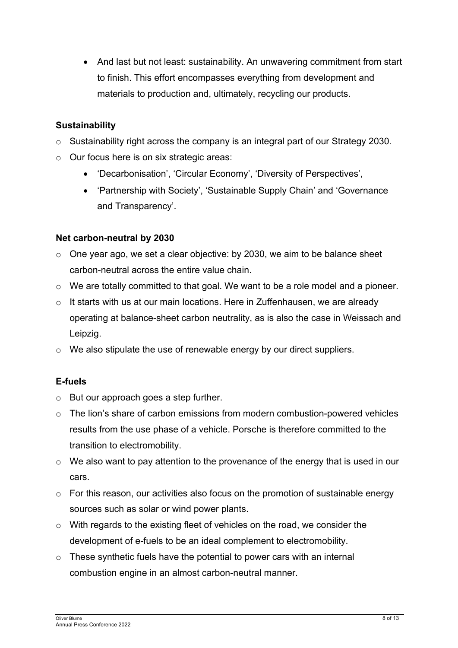• And last but not least: sustainability. An unwavering commitment from start to finish. This effort encompasses everything from development and materials to production and, ultimately, recycling our products.

## **Sustainability**

- o Sustainability right across the company is an integral part of our Strategy 2030.
- o Our focus here is on six strategic areas:
	- 'Decarbonisation', 'Circular Economy', 'Diversity of Perspectives',
	- 'Partnership with Society', 'Sustainable Supply Chain' and 'Governance and Transparency'.

## **Net carbon-neutral by 2030**

- o One year ago, we set a clear objective: by 2030, we aim to be balance sheet carbon-neutral across the entire value chain.
- o We are totally committed to that goal. We want to be a role model and a pioneer.
- o It starts with us at our main locations. Here in Zuffenhausen, we are already operating at balance-sheet carbon neutrality, as is also the case in Weissach and Leipzig.
- o We also stipulate the use of renewable energy by our direct suppliers.

## **E-fuels**

- o But our approach goes a step further.
- o The lion's share of carbon emissions from modern combustion-powered vehicles results from the use phase of a vehicle. Porsche is therefore committed to the transition to electromobility.
- o We also want to pay attention to the provenance of the energy that is used in our cars.
- o For this reason, our activities also focus on the promotion of sustainable energy sources such as solar or wind power plants.
- o With regards to the existing fleet of vehicles on the road, we consider the development of e-fuels to be an ideal complement to electromobility.
- o These synthetic fuels have the potential to power cars with an internal combustion engine in an almost carbon-neutral manner.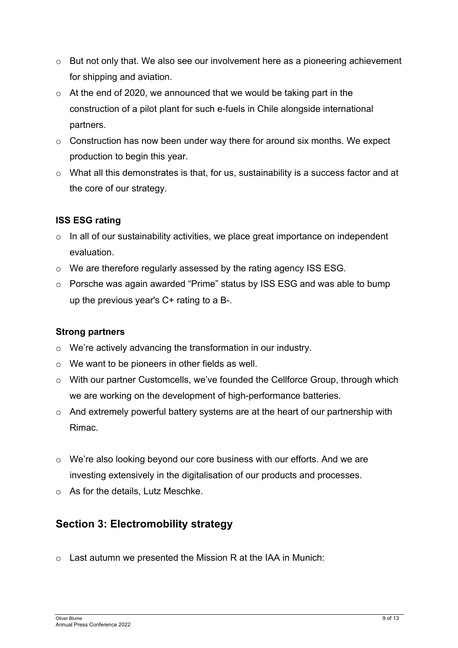- o But not only that. We also see our involvement here as a pioneering achievement for shipping and aviation.
- o At the end of 2020, we announced that we would be taking part in the construction of a pilot plant for such e-fuels in Chile alongside international partners.
- $\circ$  Construction has now been under way there for around six months. We expect production to begin this year.
- o What all this demonstrates is that, for us, sustainability is a success factor and at the core of our strategy.

## **ISS ESG rating**

- o In all of our sustainability activities, we place great importance on independent evaluation.
- o We are therefore regularly assessed by the rating agency ISS ESG.
- o Porsche was again awarded "Prime" status by ISS ESG and was able to bump up the previous year's C+ rating to a B-.

## **Strong partners**

- o We're actively advancing the transformation in our industry.
- o We want to be pioneers in other fields as well.
- $\circ$  With our partner Customcells, we've founded the Cellforce Group, through which we are working on the development of high-performance batteries.
- $\circ$  And extremely powerful battery systems are at the heart of our partnership with Rimac.
- o We're also looking beyond our core business with our efforts. And we are investing extensively in the digitalisation of our products and processes.
- o As for the details, Lutz Meschke.

# **Section 3: Electromobility strategy**

 $\circ$  Last autumn we presented the Mission R at the IAA in Munich: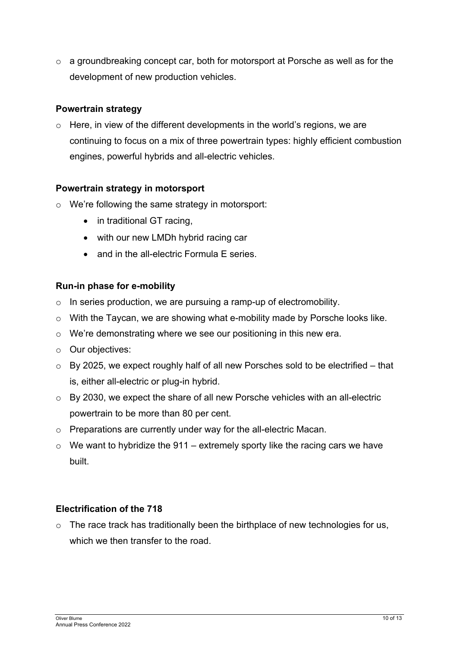o a groundbreaking concept car, both for motorsport at Porsche as well as for the development of new production vehicles.

## **Powertrain strategy**

 $\circ$  Here, in view of the different developments in the world's regions, we are continuing to focus on a mix of three powertrain types: highly efficient combustion engines, powerful hybrids and all-electric vehicles.

## **Powertrain strategy in motorsport**

- o We're following the same strategy in motorsport:
	- in traditional GT racing,
	- with our new LMDh hybrid racing car
	- and in the all-electric Formula E series.

## **Run-in phase for e-mobility**

- o In series production, we are pursuing a ramp-up of electromobility.
- o With the Taycan, we are showing what e-mobility made by Porsche looks like.
- o We're demonstrating where we see our positioning in this new era.
- o Our objectives:
- $\circ$  By 2025, we expect roughly half of all new Porsches sold to be electrified that is, either all-electric or plug-in hybrid.
- o By 2030, we expect the share of all new Porsche vehicles with an all-electric powertrain to be more than 80 per cent.
- o Preparations are currently under way for the all-electric Macan.
- $\circ$  We want to hybridize the 911 extremely sporty like the racing cars we have built.

## **Electrification of the 718**

 $\circ$  The race track has traditionally been the birthplace of new technologies for us, which we then transfer to the road.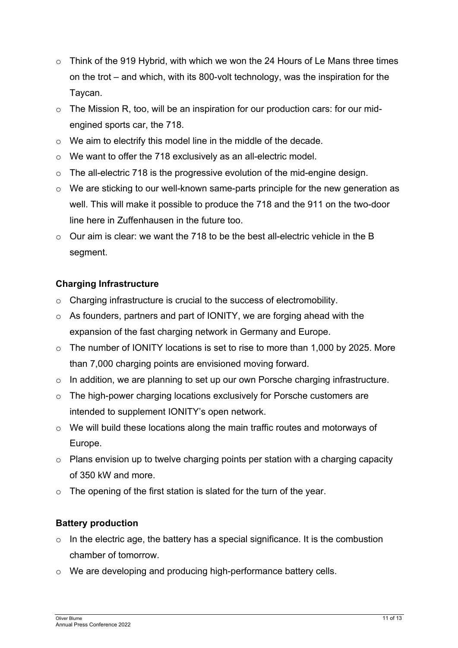- $\circ$  Think of the 919 Hybrid, with which we won the 24 Hours of Le Mans three times on the trot – and which, with its 800-volt technology, was the inspiration for the Taycan.
- o The Mission R, too, will be an inspiration for our production cars: for our midengined sports car, the 718.
- o We aim to electrify this model line in the middle of the decade.
- o We want to offer the 718 exclusively as an all-electric model.
- o The all-electric 718 is the progressive evolution of the mid-engine design.
- o We are sticking to our well-known same-parts principle for the new generation as well. This will make it possible to produce the 718 and the 911 on the two-door line here in Zuffenhausen in the future too.
- o Our aim is clear: we want the 718 to be the best all-electric vehicle in the B segment.

## **Charging Infrastructure**

- o Charging infrastructure is crucial to the success of electromobility.
- o As founders, partners and part of IONITY, we are forging ahead with the expansion of the fast charging network in Germany and Europe.
- $\circ$  The number of IONITY locations is set to rise to more than 1,000 by 2025. More than 7,000 charging points are envisioned moving forward.
- $\circ$  In addition, we are planning to set up our own Porsche charging infrastructure.
- o The high-power charging locations exclusively for Porsche customers are intended to supplement IONITY's open network.
- $\circ$  We will build these locations along the main traffic routes and motorways of Europe.
- $\circ$  Plans envision up to twelve charging points per station with a charging capacity of 350 kW and more.
- o The opening of the first station is slated for the turn of the year.

## **Battery production**

- $\circ$  In the electric age, the battery has a special significance. It is the combustion chamber of tomorrow.
- o We are developing and producing high-performance battery cells.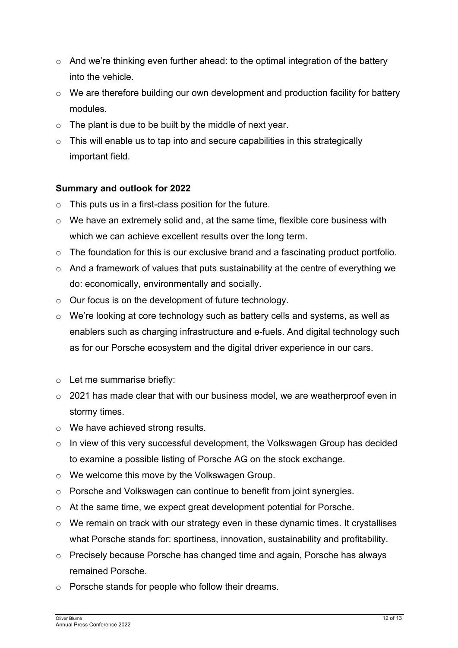- $\circ$  And we're thinking even further ahead: to the optimal integration of the battery into the vehicle.
- o We are therefore building our own development and production facility for battery modules.
- $\circ$  The plant is due to be built by the middle of next year.
- $\circ$  This will enable us to tap into and secure capabilities in this strategically important field.

## **Summary and outlook for 2022**

- $\circ$  This puts us in a first-class position for the future.
- o We have an extremely solid and, at the same time, flexible core business with which we can achieve excellent results over the long term.
- $\circ$  The foundation for this is our exclusive brand and a fascinating product portfolio.
- o And a framework of values that puts sustainability at the centre of everything we do: economically, environmentally and socially.
- o Our focus is on the development of future technology.
- o We're looking at core technology such as battery cells and systems, as well as enablers such as charging infrastructure and e-fuels. And digital technology such as for our Porsche ecosystem and the digital driver experience in our cars.
- o Let me summarise briefly:
- o 2021 has made clear that with our business model, we are weatherproof even in stormy times.
- o We have achieved strong results.
- o In view of this very successful development, the Volkswagen Group has decided to examine a possible listing of Porsche AG on the stock exchange.
- o We welcome this move by the Volkswagen Group.
- o Porsche and Volkswagen can continue to benefit from joint synergies.
- o At the same time, we expect great development potential for Porsche.
- o We remain on track with our strategy even in these dynamic times. It crystallises what Porsche stands for: sportiness, innovation, sustainability and profitability.
- $\circ$  Precisely because Porsche has changed time and again. Porsche has always remained Porsche.
- o Porsche stands for people who follow their dreams.